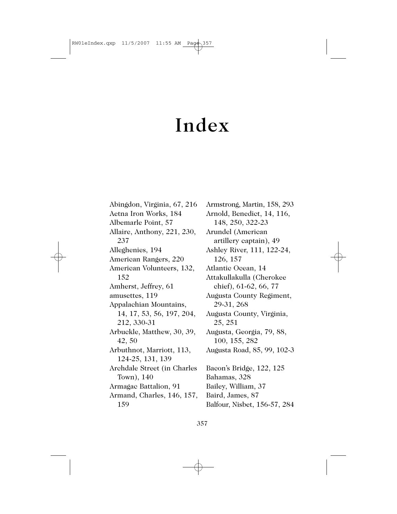## Index

Abingdon, Virginia, 67, 216 Aetna Iron Works, 184 Albemarle Point, 57 Allaire, Anthony, 221, 230, 237 Alleghenies, 194 American Rangers, 220 American Volunteers, 132, 152 Amherst, Jeffrey, 61 amusettes, 119 Appalachian Mountains, 14, 17, 53, 56, 197, 204, 212, 330-31 Arbuckle, Matthew, 30, 39, 42, 50 Arbuthnot, Marriott, 113, 124-25, 131, 139 Archdale Street (in Charles Town), 140 Armagac Battalion, 91 Armand, Charles, 146, 157, 159

Armstrong, Martin, 158, 293 Arnold, Benedict, 14, 116, 148, 250, 322-23 Arundel (American artillery captain), 49 Ashley River, 111, 122-24, 126, 157 Atlantic Ocean, 14 Attakullakulla (Cherokee chief), 61-62, 66, 77 Augusta County Regiment, 29-31, 268 Augusta County, Virginia, 25, 251 Augusta, Georgia, 79, 88, 100, 155, 282 Augusta Road, 85, 99, 102-3 Bacon's Bridge, 122, 125 Bahamas, 328 Bailey, William, 37 Baird, James, 87 Balfour, Nisbet, 156-57, 284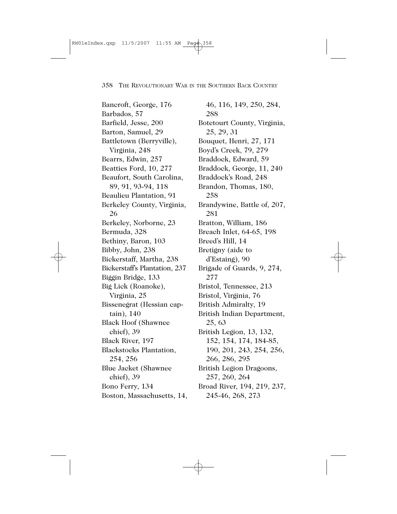Bancroft, George, 176 Barbados, 57 Barfield, Jesse, 200 Barton, Samuel, 29 Battletown (Berryville), Virginia, 248 Bearrs, Edwin, 257 Beatties Ford, 10, 277 Beaufort, South Carolina, 89, 91, 93-94, 118 Beaulieu Plantation, 91 Berkeley County, Virginia, 26 Berkeley, Norborne, 23 Bermuda, 328 Bethiny, Baron, 103 Bibby, John, 238 Bickerstaff, Martha, 238 Bickerstaff's Plantation, 237 Biggin Bridge, 133 Big Lick (Roanoke), Virginia, 25 Bissenegrat (Hessian captain), 140 Black Hoof (Shawnee chief), 39 Black River, 197 Blackstocks Plantation, 254, 256 Blue Jacket (Shawnee chief), 39 Bono Ferry, 134 Boston, Massachusetts, 14,

46, 116, 149, 250, 284, 288 Botetourt County, Virginia, 25, 29, 31 Bouquet, Henri, 27, 171 Boyd's Creek, 79, 279 Braddock, Edward, 59 Braddock, George, 11, 240 Braddock's Road, 248 Brandon, Thomas, 180, 258 Brandywine, Battle of, 207, 281 Bratton, William, 186 Breach Inlet, 64-65, 198 Breed's Hill, 14 Bretigny (aide to d'Estaing), 90 Brigade of Guards, 9, 274, 277 Bristol, Tennessee, 213 Bristol, Virginia, 76 British Admiralty, 19 British Indian Department, 25, 63 British Legion, 13, 132, 152, 154, 174, 184-85, 190, 201, 243, 254, 256, 266, 286, 295 British Legion Dragoons, 257, 260, 264 Broad River, 194, 219, 237, 245-46, 268, 273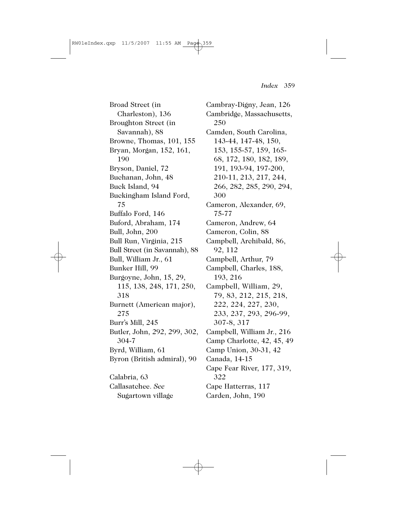Broad Street (in Charleston), 136 Broughton Street (in Savannah), 88 Browne, Thomas, 101, 155 Bryan, Morgan, 152, 161, 190 Bryson, Daniel, 72 Buchanan, John, 48 Buck Island, 94 Buckingham Island Ford, 75 Buffalo Ford, 146 Buford, Abraham, 174 Bull, John, 200 Bull Run, Virginia, 215 Bull Street (in Savannah), 88 Bull, William Jr., 61 Bunker Hill, 99 Burgoyne, John, 15, 29, 115, 138, 248, 171, 250, 318 Burnett (American major), 275 Burr's Mill, 245 Butler, John, 292, 299, 302, 304-7 Byrd, William, 61 Byron (British admiral), 90 Calabria, 63 Callasatchee. *See* Sugartown village

Cambray-Digny, Jean, 126 Cambridge, Massachusetts, 250 Camden, South Carolina, 143-44, 147-48, 150, 153, 155-57, 159, 165- 68, 172, 180, 182, 189, 191, 193-94, 197-200, 210-11, 213, 217, 244, 266, 282, 285, 290, 294, 300 Cameron, Alexander, 69, 75-77 Cameron, Andrew, 64 Cameron, Colin, 88 Campbell, Archibald, 86, 92, 112 Campbell, Arthur, 79 Campbell, Charles, 188, 193, 216 Campbell, William, 29, 79, 83, 212, 215, 218, 222, 224, 227, 230, 233, 237, 293, 296-99, 307-8, 317 Campbell, William Jr., 216 Camp Charlotte, 42, 45, 49 Camp Union, 30-31, 42 Canada, 14-15 Cape Fear River, 177, 319, 322 Cape Hatterras, 117 Carden, John, 190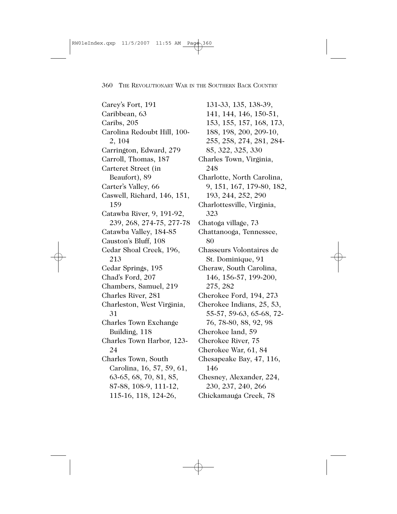Carey's Fort, 191 Caribbean, 63 Caribs, 205 Carolina Redoubt Hill, 100- 2, 104 Carrington, Edward, 279 Carroll, Thomas, 187 Carteret Street (in Beaufort), 89 Carter's Valley, 66 Caswell, Richard, 146, 151, 159 Catawba River, 9, 191-92, 239, 268, 274-75, 277-78 Catawba Valley, 184-85 Causton's Bluff, 108 Cedar Shoal Creek, 196, 213 Cedar Springs, 195 Chad's Ford, 207 Chambers, Samuel, 219 Charles River, 281 Charleston, West Virginia, 31 Charles Town Exchange Building, 118 Charles Town Harbor, 123- 24 Charles Town, South Carolina, 16, 57, 59, 61, 63-65, 68, 70, 81, 85, 87-88, 108-9, 111-12, 115-16, 118, 124-26,

131-33, 135, 138-39, 141, 144, 146, 150-51, 153, 155, 157, 168, 173, 188, 198, 200, 209-10, 255, 258, 274, 281, 284- 85, 322, 325, 330 Charles Town, Virginia, 248 Charlotte, North Carolina, 9, 151, 167, 179-80, 182, 193, 244, 252, 290 Charlottesville, Virginia, 323 Chatoga village, 73 Chattanooga, Tennessee, 80 Chasseurs Volontaires de St. Dominique, 91 Cheraw, South Carolina, 146, 156-57, 199-200, 275, 282 Cherokee Ford, 194, 273 Cherokee Indians, 25, 53, 55-57, 59-63, 65-68, 72- 76, 78-80, 88, 92, 98 Cherokee land, 59 Cherokee River, 75 Cherokee War, 61, 84 Chesapeake Bay, 47, 116, 146 Chesney, Alexander, 224, 230, 237, 240, 266 Chickamauga Creek, 78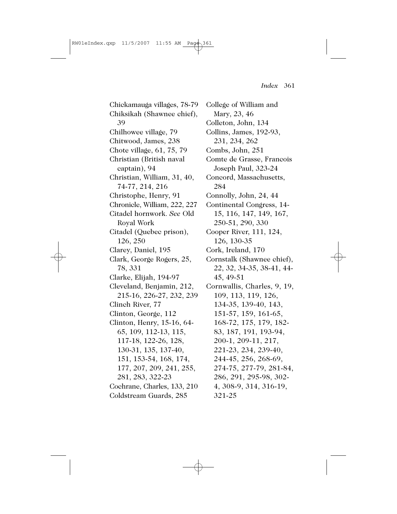Chickamauga villages, 78-79 Chiksikah (Shawnee chief), 39 Chilhowee village, 79 Chitwood, James, 238 Chote village, 61, 75, 79 Christian (British naval captain), 94 Christian, William, 31, 40, 74-77, 214, 216 Christophe, Henry, 91 Chronicle, William, 222, 227 Citadel hornwork. *See* Old Royal Work Citadel (Quebec prison), 126, 250 Clarey, Daniel, 195 Clark, George Rogers, 25, 78, 331 Clarke, Elijah, 194-97 Cleveland, Benjamin, 212, 215-16, 226-27, 232, 239 Clinch River, 77 Clinton, George, 112 Clinton, Henry, 15-16, 64- 65, 109, 112-13, 115, 117-18, 122-26, 128, 130-31, 135, 137-40, 151, 153-54, 168, 174, 177, 207, 209, 241, 255, 281, 283, 322-23 Cochrane, Charles, 133, 210

Coldstream Guards, 285

College of William and Mary, 23, 46 Colleton, John, 134 Collins, James, 192-93, 231, 234, 262 Combs, John, 251 Comte de Grasse, Francois Joseph Paul, 323-24 Concord, Massachusetts, 284 Connolly, John, 24, 44 Continental Congress, 14- 15, 116, 147, 149, 167, 250-51, 290, 330 Cooper River, 111, 124, 126, 130-35 Cork, Ireland, 170 Cornstalk (Shawnee chief), 22, 32, 34-35, 38-41, 44- 45, 49-51 Cornwallis, Charles, 9, 19, 109, 113, 119, 126, 134-35, 139-40, 143, 151-57, 159, 161-65, 168-72, 175, 179, 182- 83, 187, 191, 193-94, 200-1, 209-11, 217, 221-23, 234, 239-40, 244-45, 256, 268-69, 274-75, 277-79, 281-84, 286, 291, 295-98, 302- 4, 308-9, 314, 316-19, 321-25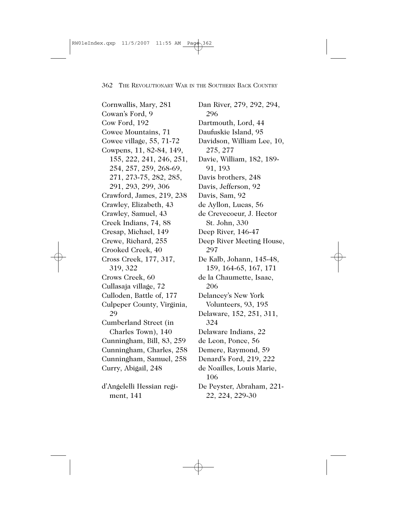Cornwallis, Mary, 281 Cowan's Ford, 9 Cow Ford, 192 Cowee Mountains, 71 Cowee village, 55, 71-72 Cowpens, 11, 82-84, 149, 155, 222, 241, 246, 251, 254, 257, 259, 268-69, 271, 273-75, 282, 285, 291, 293, 299, 306 Crawford, James, 219, 238 Crawley, Elizabeth, 43 Crawley, Samuel, 43 Creek Indians, 74, 88 Cresap, Michael, 149 Crewe, Richard, 255 Crooked Creek, 40 Cross Creek, 177, 317, 319, 322 Crows Creek, 60 Cullasaja village, 72 Culloden, Battle of, 177 Culpeper County, Virginia, 29 Cumberland Street (in Charles Town), 140 Cunningham, Bill, 83, 259 Cunningham, Charles, 258 Cunningham, Samuel, 258 Curry, Abigail, 248 d'Angelelli Hessian regiment, 141

Dan River, 279, 292, 294, 296 Dartmouth, Lord, 44 Daufuskie Island, 95 Davidson, William Lee, 10, 275, 277 Davie, William, 182, 189- 91, 193 Davis brothers, 248 Davis, Jefferson, 92 Davis, Sam, 92 de Ayllon, Lucas, 56 de Crevecoeur, J. Hector St. John, 330 Deep River, 146-47 Deep River Meeting House, 297 De Kalb, Johann, 145-48, 159, 164-65, 167, 171 de la Chaumette, Isaac, 206 Delancey's New York Volunteers, 93, 195 Delaware, 152, 251, 311, 324 Delaware Indians, 22 de Leon, Ponce, 56 Demere, Raymond, 59 Denard's Ford, 219, 222 de Noailles, Louis Marie, 106 De Peyster, Abraham, 221- 22, 224, 229-30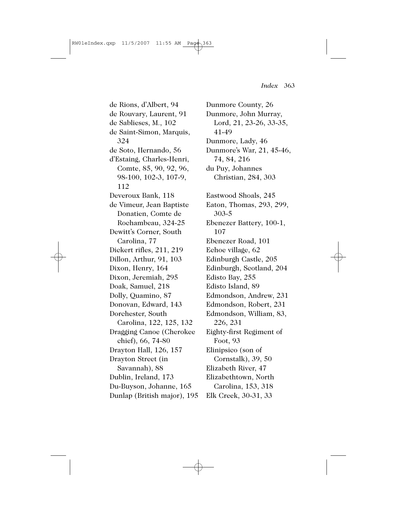de Rions, d'Albert, 94 de Rouvary, Laurent, 91 de Sablieses, M., 102 de Saint-Simon, Marquis, 324 de Soto, Hernando, 56 d'Estaing, Charles-Henri, Comte, 85, 90, 92, 96, 98-100, 102-3, 107-9, 112 Deveroux Bank, 118 de Vimeur, Jean Baptiste Donatien, Comte de Rochambeau, 324-25 Dewitt's Corner, South Carolina, 77 Dickert rifles, 211, 219 Dillon, Arthur, 91, 103 Dixon, Henry, 164 Dixon, Jeremiah, 295 Doak, Samuel, 218 Dolly, Quamino, 87 Donovan, Edward, 143 Dorchester, South Carolina, 122, 125, 132 Dragging Canoe (Cherokee chief), 66, 74-80 Drayton Hall, 126, 157 Drayton Street (in Savannah), 88 Dublin, Ireland, 173 Du-Buyson, Johanne, 165 Dunlap (British major), 195

Dunmore County, 26 Dunmore, John Murray, Lord, 21, 23-26, 33-35, 41-49 Dunmore, Lady, 46 Dunmore's War, 21, 45-46, 74, 84, 216 du Puy, Johannes Christian, 284, 303 Eastwood Shoals, 245 Eaton, Thomas, 293, 299, 303-5 Ebenezer Battery, 100-1, 107 Ebenezer Road, 101 Echoe village, 62 Edinburgh Castle, 205 Edinburgh, Scotland, 204 Edisto Bay, 255 Edisto Island, 89 Edmondson, Andrew, 231 Edmondson, Robert, 231 Edmondson, William, 83, 226, 231 Eighty-first Regiment of Foot, 93 Elinipsico (son of Cornstalk), 39, 50 Elizabeth River, 47 Elizabethtown, North Carolina, 153, 318 Elk Creek, 30-31, 33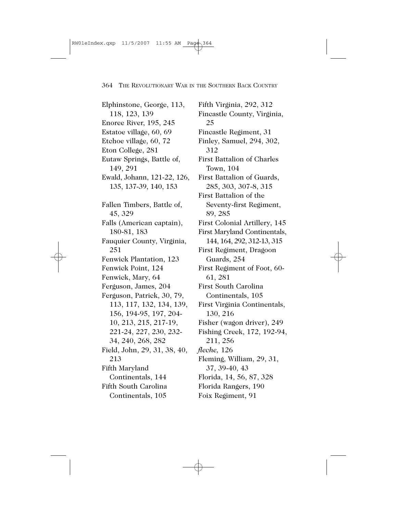Elphinstone, George, 113, 118, 123, 139 Enoree River, 195, 245 Estatoe village, 60, 69 Etchoe village, 60, 72 Eton College, 281 Eutaw Springs, Battle of, 149, 291 Ewald, Johann, 121-22, 126, 135, 137-39, 140, 153 Fallen Timbers, Battle of, 45, 329 Falls (American captain), 180-81, 183 Fauquier County, Virginia, 251 Fenwick Plantation, 123 Fenwick Point, 124 Fenwick, Mary, 64 Ferguson, James, 204 Ferguson, Patrick, 30, 79, 113, 117, 132, 134, 139, 156, 194-95, 197, 204- 10, 213, 215, 217-19, 221-24, 227, 230, 232- 34, 240, 268, 282 Field, John, 29, 31, 38, 40, 213 Fifth Maryland Continentals, 144 Fifth South Carolina Continentals, 105

Fifth Virginia, 292, 312 Fincastle County, Virginia, 25 Fincastle Regiment, 31 Finley, Samuel, 294, 302, 312 First Battalion of Charles Town, 104 First Battalion of Guards, 285, 303, 307-8, 315 First Battalion of the Seventy-first Regiment, 89, 285 First Colonial Artillery, 145 First Maryland Continentals, 144, 164, 292, 312-13, 315 First Regiment, Dragoon Guards, 254 First Regiment of Foot, 60- 61, 281 First South Carolina Continentals, 105 First Virginia Continentals, 130, 216 Fisher (wagon driver), 249 Fishing Creek, 172, 192-94, 211, 256 *fleche,* 126 Fleming, William, 29, 31, 37, 39-40, 43 Florida, 14, 56, 87, 328 Florida Rangers, 190 Foix Regiment, 91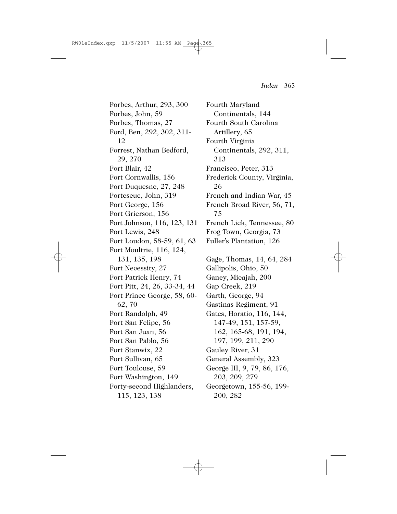Forbes, Arthur, 293, 300 Forbes, John, 59 Forbes, Thomas, 27 Ford, Ben, 292, 302, 311- 12 Forrest, Nathan Bedford, 29, 270 Fort Blair, 42 Fort Cornwallis, 156 Fort Duquesne, 27, 248 Fortescue, John, 319 Fort George, 156 Fort Grierson, 156 Fort Johnson, 116, 123, 131 Fort Lewis, 248 Fort Loudon, 58-59, 61, 63 Fort Moultrie, 116, 124, 131, 135, 198 Fort Necessity, 27 Fort Patrick Henry, 74 Fort Pitt, 24, 26, 33-34, 44 Fort Prince George, 58, 60- 62, 70 Fort Randolph, 49 Fort San Felipe, 56 Fort San Juan, 56 Fort San Pablo, 56 Fort Stanwix, 22 Fort Sullivan, 65 Fort Toulouse, 59 Fort Washington, 149 Forty-second Highlanders, 115, 123, 138

Fourth Maryland Continentals, 144 Fourth South Carolina Artillery, 65 Fourth Virginia Continentals, 292, 311, 313 Francisco, Peter, 313 Frederick County, Virginia, 26 French and Indian War, 45 French Broad River, 56, 71, 75 French Lick, Tennessee, 80 Frog Town, Georgia, 73 Fuller's Plantation, 126 Gage, Thomas, 14, 64, 284 Gallipolis, Ohio, 50 Ganey, Micajah, 200 Gap Creek, 219 Garth, George, 94 Gastinas Regiment, 91 Gates, Horatio, 116, 144, 147-49, 151, 157-59, 162, 165-68, 191, 194, 197, 199, 211, 290 Gauley River, 31 General Assembly, 323 George III, 9, 79, 86, 176, 203, 209, 279 Georgetown, 155-56, 199- 200, 282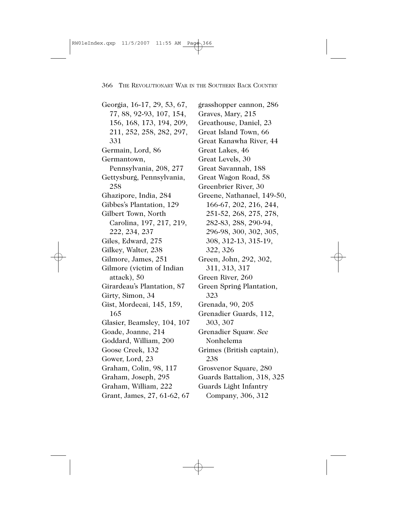Georgia, 16-17, 29, 53, 67, 77, 88, 92-93, 107, 154, 156, 168, 173, 194, 209, 211, 252, 258, 282, 297, 331 Germain, Lord, 86 Germantown, Pennsylvania, 208, 277 Gettysburg, Pennsylvania, 258 Ghazipore, India, 284 Gibbes's Plantation, 129 Gilbert Town, North Carolina, 197, 217, 219, 222, 234, 237 Giles, Edward, 275 Gilkey, Walter, 238 Gilmore, James, 251 Gilmore (victim of Indian attack), 50 Girardeau's Plantation, 87 Girty, Simon, 34 Gist, Mordecai, 145, 159, 165 Glasier, Beamsley, 104, 107 Goade, Joanne, 214 Goddard, William, 200 Goose Creek, 132 Gower, Lord, 23 Graham, Colin, 98, 117 Graham, Joseph, 295 Graham, William, 222 Grant, James, 27, 61-62, 67

grasshopper cannon, 286 Graves, Mary, 215 Greathouse, Daniel, 23 Great Island Town, 66 Great Kanawha River, 44 Great Lakes, 46 Great Levels, 30 Great Savannah, 188 Great Wagon Road, 58 Greenbrier River, 30 Greene, Nathanael, 149-50, 166-67, 202, 216, 244, 251-52, 268, 275, 278, 282-83, 288, 290-94, 296-98, 300, 302, 305, 308, 312-13, 315-19, 322, 326 Green, John, 292, 302, 311, 313, 317 Green River, 260 Green Spring Plantation, 323 Grenada, 90, 205 Grenadier Guards, 112, 303, 307 Grenadier Squaw. *See* Nonhelema Grimes (British captain), 238 Grosvenor Square, 280 Guards Battalion, 318, 325 Guards Light Infantry Company, 306, 312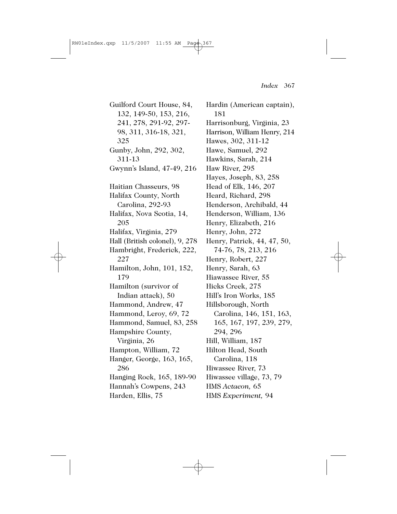Guilford Court House, 84, 132, 149-50, 153, 216, 241, 278, 291-92, 297- 98, 311, 316-18, 321, 325 Gunby, John, 292, 302, 311-13 Gwynn's Island, 47-49, 216 Haitian Chasseurs, 98 Halifax County, North Carolina, 292-93 Halifax, Nova Scotia, 14, 205 Halifax, Virginia, 279 Hall (British colonel), 9, 278 Hambright, Frederick, 222, 227 Hamilton, John, 101, 152, 179 Hamilton (survivor of Indian attack), 50 Hammond, Andrew, 47 Hammond, Leroy, 69, 72 Hammond, Samuel, 83, 258 Hampshire County, Virginia, 26 Hampton, William, 72 Hanger, George, 163, 165, 286 Hanging Rock, 165, 189-90 Hannah's Cowpens, 243 Harden, Ellis, 75

Hardin (American captain), 181 Harrisonburg, Virginia, 23 Harrison, William Henry, 214 Hawes, 302, 311-12 Hawe, Samuel, 292 Hawkins, Sarah, 214 Haw River, 295 Hayes, Joseph, 83, 258 Head of Elk, 146, 207 Heard, Richard, 298 Henderson, Archibald, 44 Henderson, William, 136 Henry, Elizabeth, 216 Henry, John, 272 Henry, Patrick, 44, 47, 50, 74-76, 78, 213, 216 Henry, Robert, 227 Henry, Sarah, 63 Hiawassee River, 55 Hicks Creek, 275 Hill's Iron Works, 185 Hillsborough, North Carolina, 146, 151, 163, 165, 167, 197, 239, 279, 294, 296 Hill, William, 187 Hilton Head, South Carolina, 118 Hiwassee River, 73 Hiwassee village, 73, 79 HMS *Actaeon,* 65 HMS *Experiment,* 94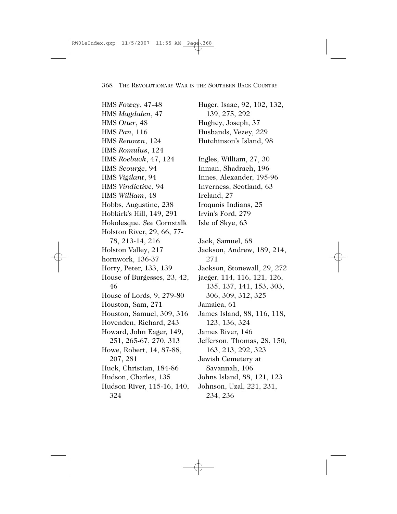HMS *Fowey*, 47-48 HMS *Magdalen*, 47 HMS *Otter*, 48 HMS *Pan*, 116 HMS *Renown*, 124 HMS *Romulus*, 124 HMS *Roebuck*, 47, 124 HMS *Scourge*, 94 HMS *Vigilant*, 94 HMS *Vindictive*, 94 HMS *William*, 48 Hobbs, Augustine, 238 Hobkirk's Hill, 149, 291 Hokolesque. *See* Cornstalk Holston River, 29, 66, 77- 78, 213-14, 216 Holston Valley, 217 hornwork, 136-37 Horry, Peter, 133, 139 House of Burgesses, 23, 42, 46 House of Lords, 9, 279-80 Houston, Sam, 271 Houston, Samuel, 309, 316 Hovenden, Richard, 243 Howard, John Eager, 149, 251, 265-67, 270, 313 Howe, Robert, 14, 87-88, 207, 281 Huck, Christian, 184-86 Hudson, Charles, 135 Hudson River, 115-16, 140, 324

Hughey, Joseph, 37 Husbands, Vezey, 229 Hutchinson's Island, 98 Ingles, William, 27, 30 Inman, Shadrach, 196 Innes, Alexander, 195-96 Inverness, Scotland, 63 Ireland, 27 Iroquois Indians, 25 Irvin's Ford, 279 Isle of Skye, 63 Jack, Samuel, 68 Jackson, Andrew, 189, 214, 271 Jackson, Stonewall, 29, 272 jaeger, 114, 116, 121, 126, 135, 137, 141, 153, 303, 306, 309, 312, 325 Jamaica, 61 James Island, 88, 116, 118, 123, 136, 324 James River, 146 Jefferson, Thomas, 28, 150, 163, 213, 292, 323 Jewish Cemetery at Savannah, 106 Johns Island, 88, 121, 123 Johnson, Uzal, 221, 231, 234, 236

Huger, Isaac, 92, 102, 132,

139, 275, 292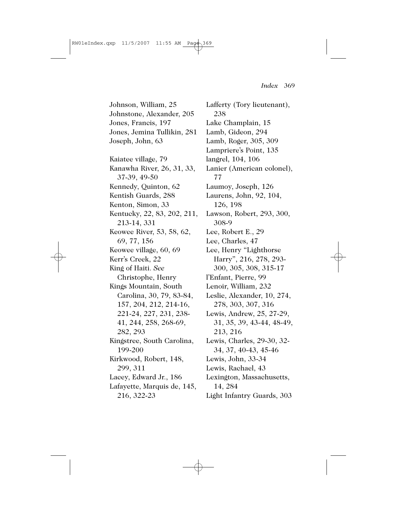Johnson, William, 25 Johnstone, Alexander, 205 Jones, Francis, 197 Jones, Jemina Tullikin, 281 Joseph, John, 63 Kaiatee village, 79 Kanawha River, 26, 31, 33, 37-39, 49-50 Kennedy, Quinton, 62 Kentish Guards, 288 Kenton, Simon, 33 Kentucky, 22, 83, 202, 211, 213-14, 331 Keowee River, 53, 58, 62, 69, 77, 156 Keowee village, 60, 69 Kerr's Creek, 22 King of Haiti. *See* Christophe, Henry Kings Mountain, South Carolina, 30, 79, 83-84, 157, 204, 212, 214-16, 221-24, 227, 231, 238- 41, 244, 258, 268-69, 282, 293 Kingstree, South Carolina, 199-200 Kirkwood, Robert, 148, 299, 311 Lacey, Edward Jr., 186 Lafayette, Marquis de, 145, 216, 322-23

Lafferty (Tory lieutenant), 238 Lake Champlain, 15 Lamb, Gideon, 294 Lamb, Roger, 305, 309 Lampriere's Point, 135 langrel, 104, 106 Lanier (American colonel), 77 Laumoy, Joseph, 126 Laurens, John, 92, 104, 126, 198 Lawson, Robert, 293, 300, 308-9 Lee, Robert E., 29 Lee, Charles, 47 Lee, Henry "Lighthorse Harry", 216, 278, 293- 300, 305, 308, 315-17 l'Enfant, Pierre, 99 Lenoir, William, 232 Leslie, Alexander, 10, 274, 278, 303, 307, 316 Lewis, Andrew, 25, 27-29, 31, 35, 39, 43-44, 48-49, 213, 216 Lewis, Charles, 29-30, 32- 34, 37, 40-43, 45-46 Lewis, John, 33-34 Lewis, Rachael, 43 Lexington, Massachusetts, 14, 284

Light Infantry Guards, 303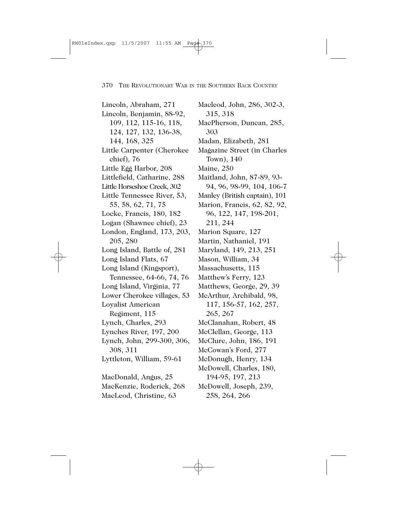Lincoln, Abraham, 271 Lincoln, Benjamin, 88-92, 109, 112, 115-16, 118, 124, 127, 132, 136-38, 144, 168, 325 Little Carpenter (Cherokee chief), 76 Little Egg Harbor, 208 Littlefield, Catharine, 288 Little Horseshoe Creek, 302 Little Tennessee River, 53, 55, 58, 62, 71, 75 Locke, Francis, 180, 182 Logan (Shawnee chief), 23 London, England, 173, 203, 205, 280 Long Island, Battle of, 281 Long Island Flats, 67 Long Island (Kingsport), Tennessee, 64-66, 74, 76 Long Island, Virginia, 77 Lower Cherokee villages, 53 Loyalist American Regiment, 115 Lynch, Charles, 293 Lynches River, 197, 200 Lynch, John, 299-300, 306, 308, 311 Lyttleton, William, 59-61 MacDonald, Angus, 25 MacKenzie, Roderick, 268 MacLeod, Christine, 63

Macleod, John, 286, 302-3, 315, 318 MacPherson, Duncan, 285, 303 Madan, Elizabeth, 281 Magazine Street (in Charles Town), 140 Maine, 250 Maitland, John, 87-89, 93- 94, 96, 98-99, 104, 106-7 Manley (British captain), 101 Marion, Francis, 62, 82, 92, 96, 122, 147, 198-201, 211, 244 Marion Square, 127 Martin, Nathaniel, 191 Maryland, 149, 213, 251 Mason, William, 34 Massachusetts, 115 Matthew's Ferry, 123 Matthews, George, 29, 39 McArthur, Archibald, 98, 117, 156-57, 162, 257, 265, 267 McClanahan, Robert, 48 McClellan, George, 113 McClure, John, 186, 191 McCowan's Ford, 277 McDonugh, Henry, 134 McDowell, Charles, 180, 194-95, 197, 213 McDowell, Joseph, 239, 258, 264, 266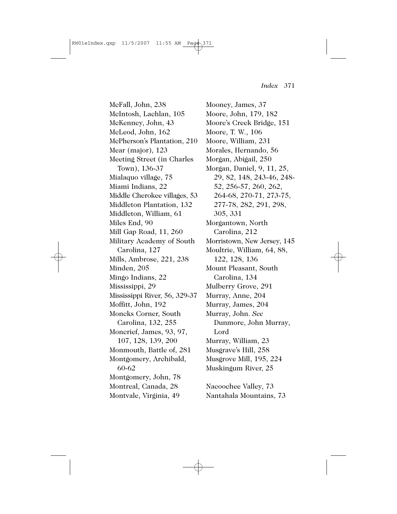McFall, John, 238 McIntosh, Lachlan, 105 McKenney, John, 43 McLeod, John, 162 McPherson's Plantation, 210 Mear (major), 123 Meeting Street (in Charles Town), 136-37 Mialaquo village, 75 Miami Indians, 22 Middle Cherokee villages, 53 Middleton Plantation, 132 Middleton, William, 61 Miles End, 90 Mill Gap Road, 11, 260 Military Academy of South Carolina, 127 Mills, Ambrose, 221, 238 Minden, 205 Mingo Indians, 22 Mississippi, 29 Mississippi River, 56, 329-37 Moffitt, John, 192 Moncks Corner, South Carolina, 132, 255 Moncrief, James, 93, 97, 107, 128, 139, 200 Monmouth, Battle of, 281 Montgomery, Archibald, 60-62 Montgomery, John, 78 Montreal, Canada, 28 Montvale, Virginia, 49

Mooney, James, 37 Moore, John, 179, 182 Moore's Creek Bridge, 151 Moore, T. W., 106 Moore, William, 231 Morales, Hernando, 56 Morgan, Abigail, 250 Morgan, Daniel, 9, 11, 25, 29, 82, 148, 243-46, 248- 52, 256-57, 260, 262, 264-68, 270-71, 273-75, 277-78, 282, 291, 298, 305, 331 Morgantown, North Carolina, 212 Morristown, New Jersey, 145 Moultrie, William, 64, 88, 122, 128, 136 Mount Pleasant, South Carolina, 134 Mulberry Grove, 291 Murray, Anne, 204 Murray, James, 204 Murray, John. *See* Dunmore, John Murray, Lord Murray, William, 23 Musgrave's Hill, 258 Musgrove Mill, 195, 224 Muskingum River, 25 Nacoochee Valley, 73 Nantahala Mountains, 73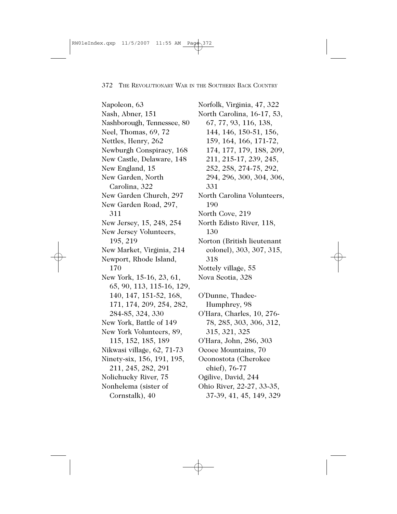Napoleon, 63 Nash, Abner, 151 Nashborough, Tennessee, 80 Neel, Thomas, 69, 72 Nettles, Henry, 262 Newburgh Conspiracy, 168 New Castle, Delaware, 148 New England, 15 New Garden, North Carolina, 322 New Garden Church, 297 New Garden Road, 297, 311 New Jersey, 15, 248, 254 New Jersey Volunteers, 195, 219 New Market, Virginia, 214 Newport, Rhode Island, 170 New York, 15-16, 23, 61, 65, 90, 113, 115-16, 129, 140, 147, 151-52, 168, 171, 174, 209, 254, 282, 284-85, 324, 330 New York, Battle of 149 New York Volunteers, 89, 115, 152, 185, 189 Nikwasi village, 62, 71-73 Ninety-six, 156, 191, 195, 211, 245, 282, 291 Nolichucky River, 75 Nonhelema (sister of Cornstalk), 40

Norfolk, Virginia, 47, 322 North Carolina, 16-17, 53, 67, 77, 93, 116, 138, 144, 146, 150-51, 156, 159, 164, 166, 171-72, 174, 177, 179, 188, 209, 211, 215-17, 239, 245, 252, 258, 274-75, 292, 294, 296, 300, 304, 306, 331 North Carolina Volunteers, 190 North Cove, 219 North Edisto River, 118, 130 Norton (British lieutenant colonel), 303, 307, 315, 318 Nottely village, 55 Nova Scotia, 328

O'Dunne, Thadee-Humphrey, 98 O'Hara, Charles, 10, 276- 78, 285, 303, 306, 312, 315, 321, 325 O'Hara, John, 286, 303 Ocoee Mountains, 70 Oconostota (Cherokee chief), 76-77 Ogilive, David, 244 Ohio River, 22-27, 33-35, 37-39, 41, 45, 149, 329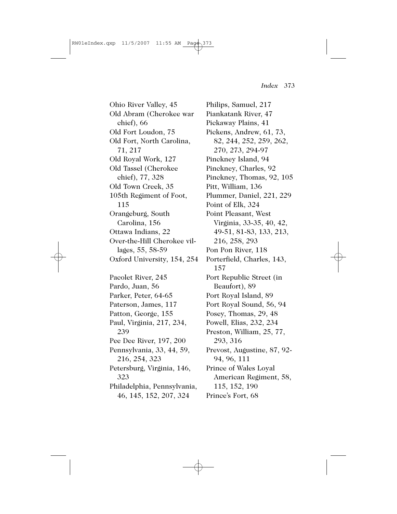Ohio River Valley, 45 Old Abram (Cherokee war chief), 66 Old Fort Loudon, 75 Old Fort, North Carolina, 71, 217 Old Royal Work, 127 Old Tassel (Cherokee chief), 77, 328 Old Town Creek, 35 105th Regiment of Foot, 115 Orangeburg, South Carolina, 156 Ottawa Indians, 22 Over-the-Hill Cherokee villages, 55, 58-59 Oxford University, 154, 254 Pacolet River, 245 Pardo, Juan, 56 Parker, Peter, 64-65 Paterson, James, 117 Patton, George, 155 Paul, Virginia, 217, 234, 239 Pee Dee River, 197, 200 Pennsylvania, 33, 44, 59, 216, 254, 323

Petersburg, Virginia, 146, 323 Philadelphia, Pennsylvania,

46, 145, 152, 207, 324

Philips, Samuel, 217 Piankatank River, 47 Pickaway Plains, 41 Pickens, Andrew, 61, 73, 82, 244, 252, 259, 262, 270, 273, 294-97 Pinckney Island, 94 Pinckney, Charles, 92 Pinckney, Thomas, 92, 105 Pitt, William, 136 Plummer, Daniel, 221, 229 Point of Elk, 324 Point Pleasant, West Virginia, 33-35, 40, 42, 49-51, 81-83, 133, 213, 216, 258, 293 Pon Pon River, 118 Porterfield, Charles, 143, 157 Port Republic Street (in Beaufort), 89 Port Royal Island, 89 Port Royal Sound, 56, 94 Posey, Thomas, 29, 48 Powell, Elias, 232, 234 Preston, William, 25, 77, 293, 316 Prevost, Augustine, 87, 92- 94, 96, 111 Prince of Wales Loyal American Regiment, 58, 115, 152, 190 Prince's Fort, 68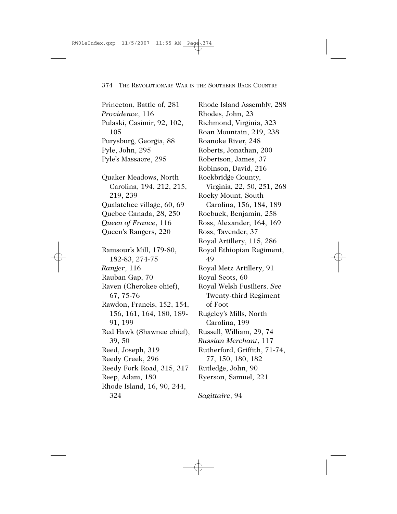Princeton, Battle of, 281 *Providence*, 116 Pulaski, Casimir, 92, 102, 105 Purysburg, Georgia, 88 Pyle, John, 295 Pyle's Massacre, 295 Quaker Meadows, North Carolina, 194, 212, 215, 219, 239 Qualatchee village, 60, 69 Quebec Canada, 28, 250 *Queen of France*, 116 Queen's Rangers, 220 Ramsour's Mill, 179-80, 182-83, 274-75 *Ranger*, 116 Rauban Gap, 70 Raven (Cherokee chief), 67, 75-76 Rawdon, Francis, 152, 154, 156, 161, 164, 180, 189- 91, 199 Red Hawk (Shawnee chief), 39, 50 Reed, Joseph, 319 Reedy Creek, 296 Reedy Fork Road, 315, 317 Reep, Adam, 180 Rhode Island, 16, 90, 244, 324

Rhode Island Assembly, 288 Rhodes, John, 23 Richmond, Virginia, 323 Roan Mountain, 219, 238 Roanoke River, 248 Roberts, Jonathan, 200 Robertson, James, 37 Robinson, David, 216 Rockbridge County, Virginia, 22, 50, 251, 268 Rocky Mount, South Carolina, 156, 184, 189 Roebuck, Benjamin, 258 Ross, Alexander, 164, 169 Ross, Tavender, 37 Royal Artillery, 115, 286 Royal Ethiopian Regiment, 49 Royal Metz Artillery, 91 Royal Scots, 60 Royal Welsh Fusiliers. *See* Twenty-third Regiment of Foot Rugeley's Mills, North Carolina, 199 Russell, William, 29, 74 *Russian Merchant*, 117 Rutherford, Griffith, 71-74, 77, 150, 180, 182 Rutledge, John, 90 Ryerson, Samuel, 221

*Sagittaire*, 94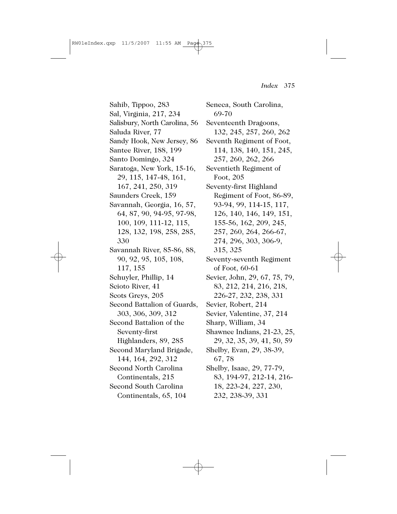Sahib, Tippoo, 283 Sal, Virginia, 217, 234 Salisbury, North Carolina, 56 Saluda River, 77 Sandy Hook, New Jersey, 86 Santee River, 188, 199 Santo Domingo, 324 Saratoga, New York, 15-16, 29, 115, 147-48, 161, 167, 241, 250, 319 Saunders Creek, 159 Savannah, Georgia, 16, 57, 64, 87, 90, 94-95, 97-98, 100, 109, 111-12, 115, 128, 132, 198, 258, 285, 330 Savannah River, 85-86, 88, 90, 92, 95, 105, 108, 117, 155 Schuyler, Phillip, 14 Scioto River, 41 Scots Greys, 205 Second Battalion of Guards, 303, 306, 309, 312 Second Battalion of the Seventy-first Highlanders, 89, 285 Second Maryland Brigade, 144, 164, 292, 312 Second North Carolina Continentals, 215 Second South Carolina Continentals, 65, 104

Seneca, South Carolina, 69-70 Seventeenth Dragoons, 132, 245, 257, 260, 262 Seventh Regiment of Foot, 114, 138, 140, 151, 245, 257, 260, 262, 266 Seventieth Regiment of Foot, 205 Seventy-first Highland Regiment of Foot, 86-89, 93-94, 99, 114-15, 117, 126, 140, 146, 149, 151, 155-56, 162, 209, 245, 257, 260, 264, 266-67, 274, 296, 303, 306-9, 315, 325 Seventy-seventh Regiment of Foot, 60-61 Sevier, John, 29, 67, 75, 79, 83, 212, 214, 216, 218, 226-27, 232, 238, 331 Sevier, Robert, 214 Sevier, Valentine, 37, 214 Sharp, William, 34 Shawnee Indians, 21-23, 25, 29, 32, 35, 39, 41, 50, 59 Shelby, Evan, 29, 38-39, 67, 78 Shelby, Isaac, 29, 77-79, 83, 194-97, 212-14, 216- 18, 223-24, 227, 230, 232, 238-39, 331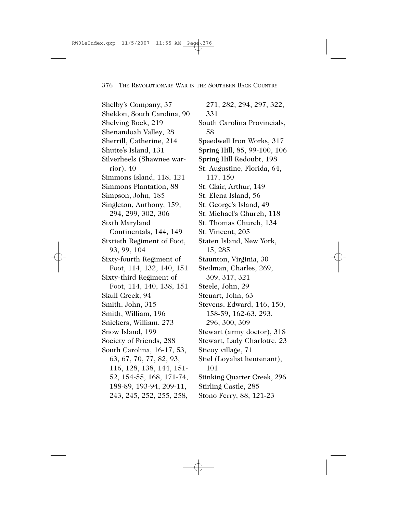Shelby's Company, 37 Sheldon, South Carolina, 90 Shelving Rock, 219 Shenandoah Valley, 28 Sherrill, Catherine, 214 Shutte's Island, 131 Silverheels (Shawnee warrior), 40 Simmons Island, 118, 121 Simmons Plantation, 88 Simpson, John, 185 Singleton, Anthony, 159, 294, 299, 302, 306 Sixth Maryland Continentals, 144, 149 Sixtieth Regiment of Foot, 93, 99, 104 Sixty-fourth Regiment of Foot, 114, 132, 140, 151 Sixty-third Regiment of Foot, 114, 140, 138, 151 Skull Creek, 94 Smith, John, 315 Smith, William, 196 Snickers, William, 273 Snow Island, 199 Society of Friends, 288 South Carolina, 16-17, 53, 63, 67, 70, 77, 82, 93, 116, 128, 138, 144, 151- 52, 154-55, 168, 171-74, 188-89, 193-94, 209-11, 243, 245, 252, 255, 258,

271, 282, 294, 297, 322, 331 South Carolina Provincials, 58 Speedwell Iron Works, 317 Spring Hill, 85, 99-100, 106 Spring Hill Redoubt, 198 St. Augustine, Florida, 64, 117, 150 St. Clair, Arthur, 149 St. Elena Island, 56 St. George's Island, 49 St. Michael's Church, 118 St. Thomas Church, 134 St. Vincent, 205 Staten Island, New York, 15, 285 Staunton, Virginia, 30 Stedman, Charles, 269, 309, 317, 321 Steele, John, 29 Steuart, John, 63 Stevens, Edward, 146, 150, 158-59, 162-63, 293, 296, 300, 309 Stewart (army doctor), 318 Stewart, Lady Charlotte, 23 Sticoy village, 71 Stiel (Loyalist lieutenant), 101 Stinking Quarter Creek, 296 Stirling Castle, 285 Stono Ferry, 88, 121-23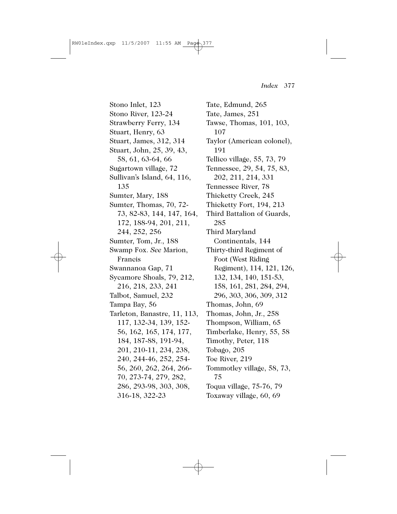Stono Inlet, 123 Stono River, 123-24 Strawberry Ferry, 134 Stuart, Henry, 63 Stuart, James, 312, 314 Stuart, John, 25, 39, 43, 58, 61, 63-64, 66 Sugartown village, 72 Sullivan's Island, 64, 116, 135 Sumter, Mary, 188 Sumter, Thomas, 70, 72- 73, 82-83, 144, 147, 164, 172, 188-94, 201, 211, 244, 252, 256 Sumter, Tom, Jr., 188 Swamp Fox. *See* Marion, Francis Swannanoa Gap, 71 Sycamore Shoals, 79, 212, 216, 218, 233, 241 Talbot, Samuel, 232 Tampa Bay, 56 Tarleton, Banastre, 11, 113, 117, 132-34, 139, 152- 56, 162, 165, 174, 177, 184, 187-88, 191-94, 201, 210-11, 234, 238, 240, 244-46, 252, 254- 56, 260, 262, 264, 266- 70, 273-74, 279, 282, 286, 293-98, 303, 308, 316-18, 322-23

Tate, Edmund, 265 Tate, James, 251 Tawse, Thomas, 101, 103, 107 Taylor (American colonel), 191 Tellico village, 55, 73, 79 Tennessee, 29, 54, 75, 83, 202, 211, 214, 331 Tennessee River, 78 Thicketty Creek, 245 Thicketty Fort, 194, 213 Third Battalion of Guards, 285 Third Maryland Continentals, 144 Thirty-third Regiment of Foot (West Riding Regiment), 114, 121, 126, 132, 134, 140, 151-53, 158, 161, 281, 284, 294, 296, 303, 306, 309, 312 Thomas, John, 69 Thomas, John, Jr., 258 Thompson, William, 65 Timberlake, Henry, 55, 58 Timothy, Peter, 118 Tobago, 205 Toe River, 219 Tommotley village, 58, 73, 75 Toqua village, 75-76, 79 Toxaway village, 60, 69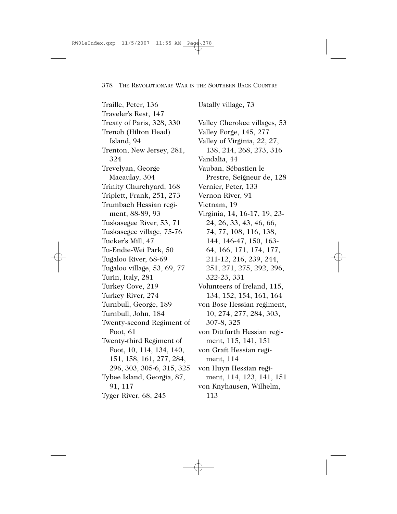Traille, Peter, 136 Traveler's Rest, 147 Treaty of Paris, 328, 330 Trench (Hilton Head) Island, 94 Trenton, New Jersey, 281, 324 Trevelyan, George Macaulay, 304 Trinity Churchyard, 168 Triplett, Frank, 251, 273 Trumbach Hessian regiment, 88-89, 93 Tuskasegee River, 53, 71 Tuskasegee village, 75-76 Tucker's Mill, 47 Tu-Endie-Wei Park, 50 Tugaloo River, 68-69 Tugaloo village, 53, 69, 77 Turin, Italy, 281 Turkey Cove, 219 Turkey River, 274 Turnbull, George, 189 Turnbull, John, 184 Twenty-second Regiment of Foot, 61 Twenty-third Regiment of Foot, 10, 114, 134, 140, 151, 158, 161, 277, 284, 296, 303, 305-6, 315, 325 Tybee Island, Georgia, 87, 91, 117 Tyger River, 68, 245

Ustally village, 73 Valley Cherokee villages, 53 Valley Forge, 145, 277 Valley of Virginia, 22, 27, 138, 214, 268, 273, 316 Vandalia, 44 Vauban, Sébastien le Prestre, Seigneur de, 128 Vernier, Peter, 133 Vernon River, 91 Vietnam, 19 Virginia, 14, 16-17, 19, 23- 24, 26, 33, 43, 46, 66, 74, 77, 108, 116, 138, 144, 146-47, 150, 163- 64, 166, 171, 174, 177, 211-12, 216, 239, 244, 251, 271, 275, 292, 296, 322-23, 331 Volunteers of Ireland, 115, 134, 152, 154, 161, 164 von Bose Hessian regiment, 10, 274, 277, 284, 303, 307-8, 325 von Dittfurth Hessian regiment, 115, 141, 151 von Graft Hessian regiment, 114 von Huyn Hessian regiment, 114, 123, 141, 151 von Knyhausen, Wilhelm, 113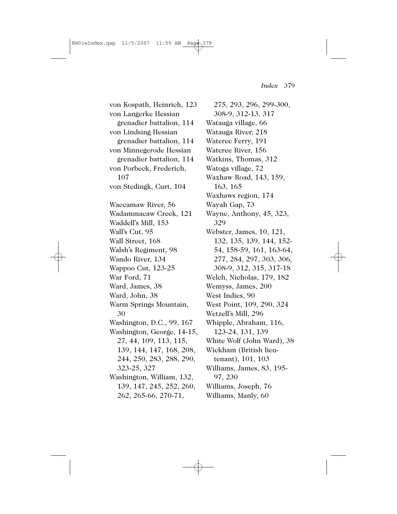von Kospath, Heinrich, 123 von Langerke Hessian grenadier battalion, 114 von Lindsing Hessian grenadier battalion, 114 von Minnegerode Hessian grenadier battalion, 114 von Porbeck, Frederich, 107 von Stedingk, Curt, 104 Waccamaw River, 56 Wadammacaw Creek, 121 Waddell's Mill, 153 Wall's Cut, 95 Wall Street, 168 Walsh's Regiment, 98 Wando River, 134 Wappoo Cut, 123-25 War Ford, 71 Ward, James, 38 Ward, John, 38 Warm Springs Mountain, 30 Washington, D.C., 99, 167 Washington, George, 14-15, 27, 44, 109, 113, 115, 139, 144, 147, 168, 208, 244, 250, 283, 288, 290, 323-25, 327 Washington, William, 132, 139, 147, 245, 252, 260, 262, 265-66, 270-71,

275, 293, 296, 299-300, 308-9, 312-13, 317 Watauga village, 66 Watauga River, 218 Wateree Ferry, 191 Wateree River, 156 Watkins, Thomas, 312 Watoga village, 72 Waxhaw Road, 143, 159, 163, 165 Waxhaws region, 174 Wayah Gap, 73 Wayne, Anthony, 45, 323, 329 Webster, James, 10, 121, 132, 135, 139, 144, 152- 54, 158-59, 161, 163-64, 277, 284, 297, 303, 306, 308-9, 312, 315, 317-18 Welch, Nicholas, 179, 182 Wemyss, James, 200 West Indies, 90 West Point, 109, 290, 324 Wetzell's Mill, 296 Whipple, Abraham, 116, 123-24, 131, 139 White Wolf (John Ward), 38 Wickham (British lieutenant), 101, 103 Williams, James, 83, 195- 97, 230 Williams, Joseph, 76 Williams, Manly, 60